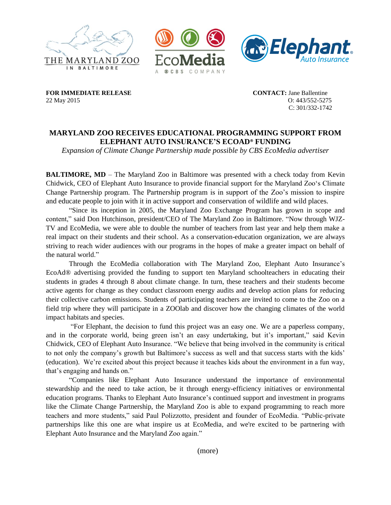





**FOR IMMEDIATE RELEASE CONTACT:** Jane Ballentine 22 May 2015 O: 443/552-5275

C: 301/332-1742

# **MARYLAND ZOO RECEIVES EDUCATIONAL PROGRAMMING SUPPORT FROM ELEPHANT AUTO INSURANCE'S ECOAD**® **FUNDING**

*Expansion of Climate Change Partnership made possible by CBS EcoMedia advertiser*

**BALTIMORE, MD** – The Maryland Zoo in Baltimore was presented with a check today from Kevin Chidwick, CEO of Elephant Auto Insurance to provide financial support for the Maryland Zoo's Climate Change Partnership program. The Partnership program is in support of the Zoo's mission to inspire and educate people to join with it in active support and conservation of wildlife and wild places.

"Since its inception in 2005, the Maryland Zoo Exchange Program has grown in scope and content," said Don Hutchinson, president/CEO of The Maryland Zoo in Baltimore. "Now through WJZ-TV and EcoMedia, we were able to double the number of teachers from last year and help them make a real impact on their students and their school. As a conservation-education organization, we are always striving to reach wider audiences with our programs in the hopes of make a greater impact on behalf of the natural world."

Through the EcoMedia collaboration with The Maryland Zoo, Elephant Auto Insurance's EcoAd® advertising provided the funding to support ten Maryland schoolteachers in educating their students in grades 4 through 8 about climate change. In turn, these teachers and their students become active agents for change as they conduct classroom energy audits and develop action plans for reducing their collective carbon emissions. Students of participating teachers are invited to come to the Zoo on a field trip where they will participate in a ZOOlab and discover how the changing climates of the world impact habitats and species.

"For Elephant, the decision to fund this project was an easy one. We are a paperless company, and in the corporate world, being green isn't an easy undertaking, but it's important," said Kevin Chidwick, CEO of Elephant Auto Insurance. "We believe that being involved in the community is critical to not only the company's growth but Baltimore's success as well and that success starts with the kids' (education). We're excited about this project because it teaches kids about the environment in a fun way, that's engaging and hands on."

"Companies like Elephant Auto Insurance understand the importance of environmental stewardship and the need to take action, be it through energy-efficiency initiatives or environmental education programs. Thanks to Elephant Auto Insurance's continued support and investment in programs like the Climate Change Partnership, the Maryland Zoo is able to expand programming to reach more teachers and more students," said Paul Polizzotto, president and founder of EcoMedia. "Public-private partnerships like this one are what inspire us at EcoMedia, and we're excited to be partnering with Elephant Auto Insurance and the Maryland Zoo again."

(more)